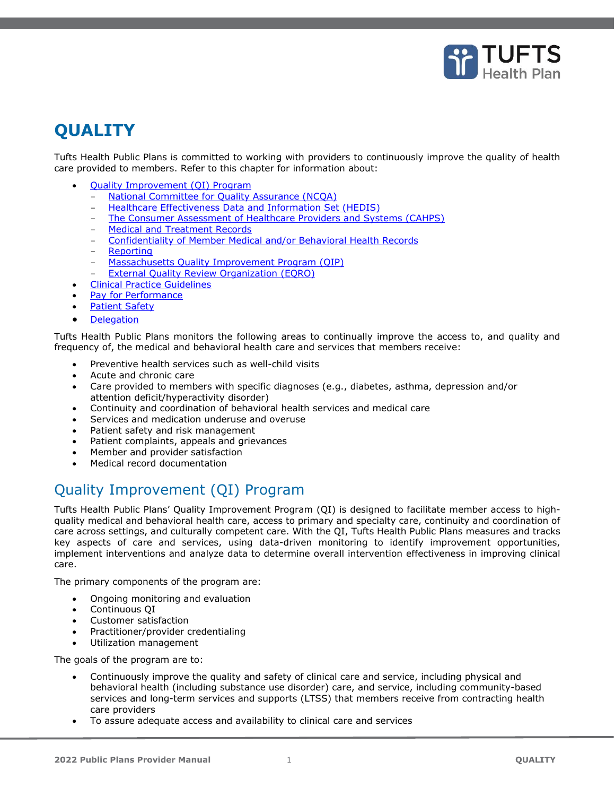

# **QUALITY**

Tufts Health Public Plans is committed to working with providers to continuously improve the quality of health care provided to members. Refer to this chapter for information about:

- [Quality Improvement \(QI\) Program](#page-0-0)
	- National Committee for Ouality Assurance (NCOA)
	- [Healthcare Effectiveness Data and Information Set \(HEDIS\)](#page-1-1)
	- The Consumer [Assessment of Healthcare Providers and Systems \(CAHPS\)](#page-1-2)
	- [Medical and Treatment Records](#page-2-0)
	- [Confidentiality of Member Medical and/or Behavioral Health Records](#page-2-1)
	- [Reporting](#page-3-0)
	- [Massachusetts Quality Improvement Program \(QIP\)](#page-3-1)
	- [External Quality Review Organization \(EQRO\)](#page-3-2)
- [Clinical Practice Guidelines](#page-3-3)
- [Pay for Performance](#page-4-0)
- **[Patient Safety](#page-4-1)**
- **[Delegation](#page-4-2)**

Tufts Health Public Plans monitors the following areas to continually improve the access to, and quality and frequency of, the medical and behavioral health care and services that members receive:

- Preventive health services such as well-child visits
- Acute and chronic care
- Care provided to members with specific diagnoses (e.g., diabetes, asthma, depression and/or attention deficit/hyperactivity disorder)
- Continuity and coordination of behavioral health services and medical care
- Services and medication underuse and overuse
- Patient safety and risk management
- Patient complaints, appeals and grievances
- Member and provider satisfaction
- Medical record documentation

# <span id="page-0-0"></span>Quality Improvement (QI) Program

Tufts Health Public Plans' Quality Improvement Program (QI) is designed to facilitate member access to highquality medical and behavioral health care, access to primary and specialty care, continuity and coordination of care across settings, and culturally competent care. With the QI, Tufts Health Public Plans measures and tracks key aspects of care and services, using data-driven monitoring to identify improvement opportunities, implement interventions and analyze data to determine overall intervention effectiveness in improving clinical care.

The primary components of the program are:

- Ongoing monitoring and evaluation
- Continuous QI
- Customer satisfaction
- Practitioner/provider credentialing
- Utilization management

The goals of the program are to:

- Continuously improve the quality and safety of clinical care and service, including physical and behavioral health (including substance use disorder) care, and service, including community-based services and long-term services and supports (LTSS) that members receive from contracting health care providers
- To assure adequate access and availability to clinical care and services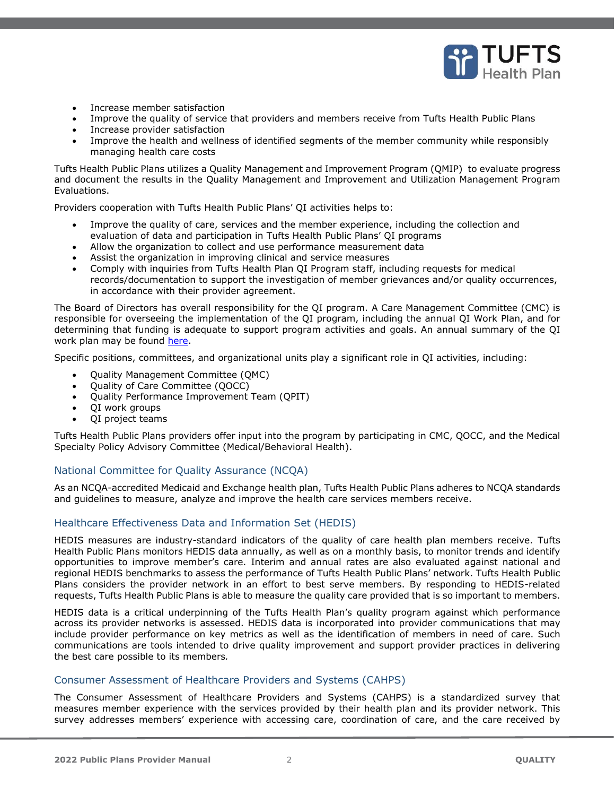

- Increase member satisfaction
- Improve the quality of service that providers and members receive from Tufts Health Public Plans
- Increase provider satisfaction
- Improve the health and wellness of identified segments of the member community while responsibly managing health care costs

Tufts Health Public Plans utilizes a Quality Management and Improvement Program (QMIP) to evaluate progress and document the results in the Quality Management and Improvement and Utilization Management Program Evaluations.

Providers cooperation with Tufts Health Public Plans' QI activities helps to:

- Improve the quality of care, services and the member experience, including the collection and evaluation of data and participation in Tufts Health Public Plans' QI programs
- Allow the organization to collect and use performance measurement data
- Assist the organization in improving clinical and service measures
- Comply with inquiries from Tufts Health Plan QI Program staff, including requests for medical records/documentation to support the investigation of member grievances and/or quality occurrences, in accordance with their provider agreement.

The Board of Directors has overall responsibility for the QI program. A Care Management Committee (CMC) is responsible for overseeing the implementation of the QI program, including the annual QI Work Plan, and for determining that funding is adequate to support program activities and goals. An annual summary of the QI work plan may be found [here.](https://tuftshealthplan.com/documents/providers/general/quality-improvement-work-plan-summary)

Specific positions, committees, and organizational units play a significant role in QI activities, including:

- Quality Management Committee (QMC)
- Quality of Care Committee (QOCC)
- Quality Performance Improvement Team (QPIT)
- QI work groups
- QI project teams

Tufts Health Public Plans providers offer input into the program by participating in CMC, QOCC, and the Medical Specialty Policy Advisory Committee (Medical/Behavioral Health).

### <span id="page-1-0"></span>National Committee for Quality Assurance (NCQA)

As an NCQA-accredited Medicaid and Exchange health plan, Tufts Health Public Plans adheres to NCQA standards and guidelines to measure, analyze and improve the health care services members receive.

### <span id="page-1-1"></span>Healthcare Effectiveness Data and Information Set (HEDIS)

HEDIS measures are industry-standard indicators of the quality of care health plan members receive. Tufts Health Public Plans monitors HEDIS data annually, as well as on a monthly basis, to monitor trends and identify opportunities to improve member's care. Interim and annual rates are also evaluated against national and regional HEDIS benchmarks to assess the performance of Tufts Health Public Plans' network. Tufts Health Public Plans considers the provider network in an effort to best serve members. By responding to HEDIS-related requests, Tufts Health Public Plans is able to measure the quality care provided that is so important to members.

HEDIS data is a critical underpinning of the Tufts Health Plan's quality program against which performance across its provider networks is assessed. HEDIS data is incorporated into provider communications that may include provider performance on key metrics as well as the identification of members in need of care. Such communications are tools intended to drive quality improvement and support provider practices in delivering the best care possible to its members*.*

#### <span id="page-1-2"></span>Consumer Assessment of Healthcare Providers and Systems (CAHPS)

The Consumer Assessment of Healthcare Providers and Systems (CAHPS) is a standardized survey that measures member experience with the services provided by their health plan and its provider network. This survey addresses members' experience with accessing care, coordination of care, and the care received by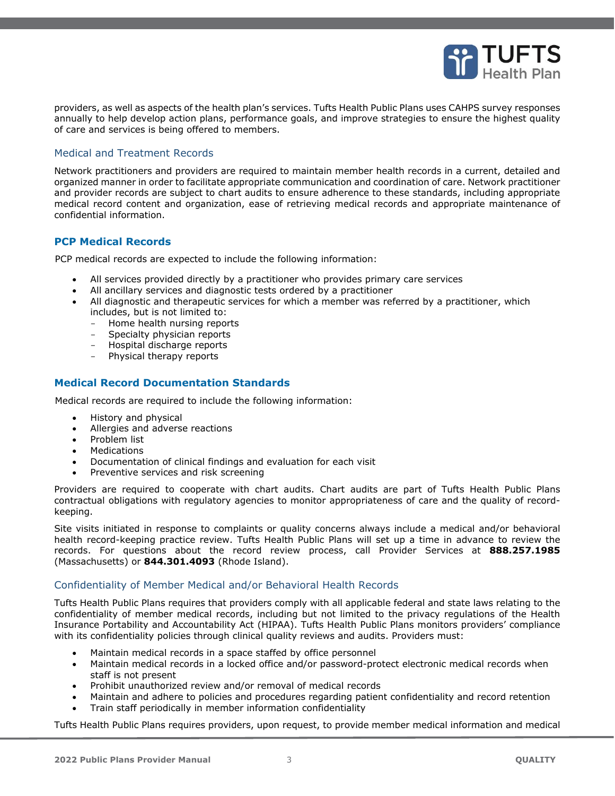

providers, as well as aspects of the health plan's services. Tufts Health Public Plans uses CAHPS survey responses annually to help develop action plans, performance goals, and improve strategies to ensure the highest quality of care and services is being offered to members.

### <span id="page-2-0"></span>Medical and Treatment Records

Network practitioners and providers are required to maintain member health records in a current, detailed and organized manner in order to facilitate appropriate communication and coordination of care. Network practitioner and provider records are subject to chart audits to ensure adherence to these standards, including appropriate medical record content and organization, ease of retrieving medical records and appropriate maintenance of confidential information.

#### **PCP Medical Records**

PCP medical records are expected to include the following information:

- All services provided directly by a practitioner who provides primary care services
- All ancillary services and diagnostic tests ordered by a practitioner
- All diagnostic and therapeutic services for which a member was referred by a practitioner, which includes, but is not limited to:
	- Home health nursing reports
	- Specialty physician reports
	- Hospital discharge reports
	- Physical therapy reports

#### **Medical Record Documentation Standards**

Medical records are required to include the following information:

- History and physical
- Allergies and adverse reactions
- Problem list
- Medications
- Documentation of clinical findings and evaluation for each visit
- Preventive services and risk screening

Providers are required to cooperate with chart audits. Chart audits are part of Tufts Health Public Plans contractual obligations with regulatory agencies to monitor appropriateness of care and the quality of recordkeeping.

Site visits initiated in response to complaints or quality concerns always include a medical and/or behavioral health record-keeping practice review. Tufts Health Public Plans will set up a time in advance to review the records. For questions about the record review process, call Provider Services at **888.257.1985** (Massachusetts) or **844.301.4093** (Rhode Island).

#### <span id="page-2-1"></span>Confidentiality of Member Medical and/or Behavioral Health Records

Tufts Health Public Plans requires that providers comply with all applicable federal and state laws relating to the confidentiality of member medical records, including but not limited to the privacy regulations of the Health Insurance Portability and Accountability Act (HIPAA). Tufts Health Public Plans monitors providers' compliance with its confidentiality policies through clinical quality reviews and audits. Providers must:

- Maintain medical records in a space staffed by office personnel
- Maintain medical records in a locked office and/or password-protect electronic medical records when staff is not present
- Prohibit unauthorized review and/or removal of medical records
- Maintain and adhere to policies and procedures regarding patient confidentiality and record retention
- Train staff periodically in member information confidentiality

Tufts Health Public Plans requires providers, upon request, to provide member medical information and medical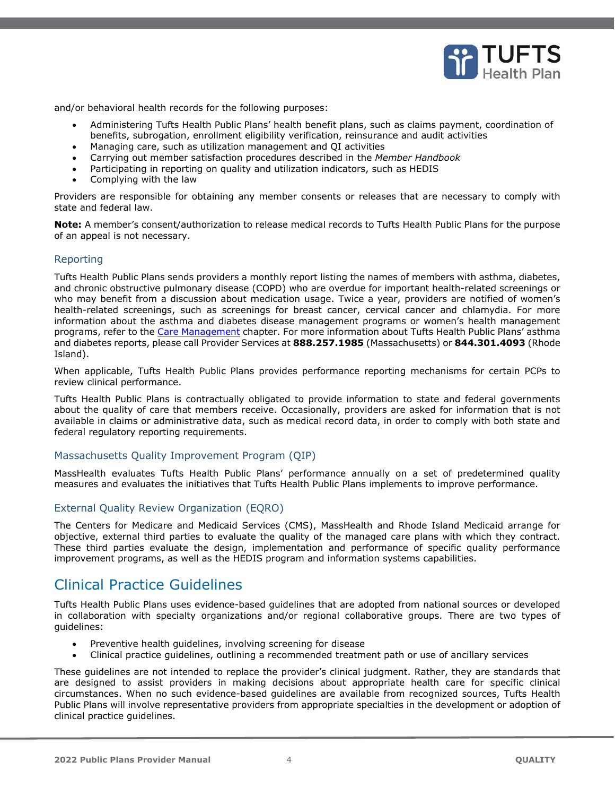

and/or behavioral health records for the following purposes:

- Administering Tufts Health Public Plans' health benefit plans, such as claims payment, coordination of benefits, subrogation, enrollment eligibility verification, reinsurance and audit activities
- Managing care, such as utilization management and QI activities
- Carrying out member satisfaction procedures described in the *Member Handbook*
- Participating in reporting on quality and utilization indicators, such as HEDIS
- Complying with the law

Providers are responsible for obtaining any member consents or releases that are necessary to comply with state and federal law.

**Note:** A member's consent/authorization to release medical records to Tufts Health Public Plans for the purpose of an appeal is not necessary.

#### <span id="page-3-0"></span>Reporting

Tufts Health Public Plans sends providers a monthly report listing the names of members with asthma, diabetes, and chronic obstructive pulmonary disease (COPD) who are overdue for important health-related screenings or who may benefit from a discussion about medication usage. Twice a year, providers are notified of women's health-related screenings, such as screenings for breast cancer, cervical cancer and chlamydia. For more information about the asthma and diabetes disease management programs or women's health management programs, refer to the Care Management chapter. For more information about Tufts Health Public Plans' asthma and diabetes reports, please call Provider Services at **888.257.1985** (Massachusetts) or **844.301.4093** (Rhode Island).

When applicable, Tufts Health Public Plans provides performance reporting mechanisms for certain PCPs to review clinical performance.

Tufts Health Public Plans is contractually obligated to provide information to state and federal governments about the quality of care that members receive. Occasionally, providers are asked for information that is not available in claims or administrative data, such as medical record data, in order to comply with both state and federal regulatory reporting requirements.

#### <span id="page-3-1"></span>Massachusetts Quality Improvement Program (QIP)

MassHealth evaluates Tufts Health Public Plans' performance annually on a set of predetermined quality measures and evaluates the initiatives that Tufts Health Public Plans implements to improve performance.

### <span id="page-3-2"></span>External Quality Review Organization (EQRO)

The Centers for Medicare and Medicaid Services (CMS), MassHealth and Rhode Island Medicaid arrange for objective, external third parties to evaluate the quality of the managed care plans with which they contract. These third parties evaluate the design, implementation and performance of specific quality performance improvement programs, as well as the HEDIS program and information systems capabilities.

### <span id="page-3-3"></span>Clinical Practice Guidelines

Tufts Health Public Plans uses evidence-based guidelines that are adopted from national sources or developed in collaboration with specialty organizations and/or regional collaborative groups. There are two types of guidelines:

- Preventive health guidelines, involving screening for disease
- Clinical practice guidelines, outlining a recommended treatment path or use of ancillary services

These guidelines are not intended to replace the provider's clinical judgment. Rather, they are standards that are designed to assist providers in making decisions about appropriate health care for specific clinical circumstances. When no such evidence-based guidelines are available from recognized sources, Tufts Health Public Plans will involve representative providers from appropriate specialties in the development or adoption of clinical practice guidelines.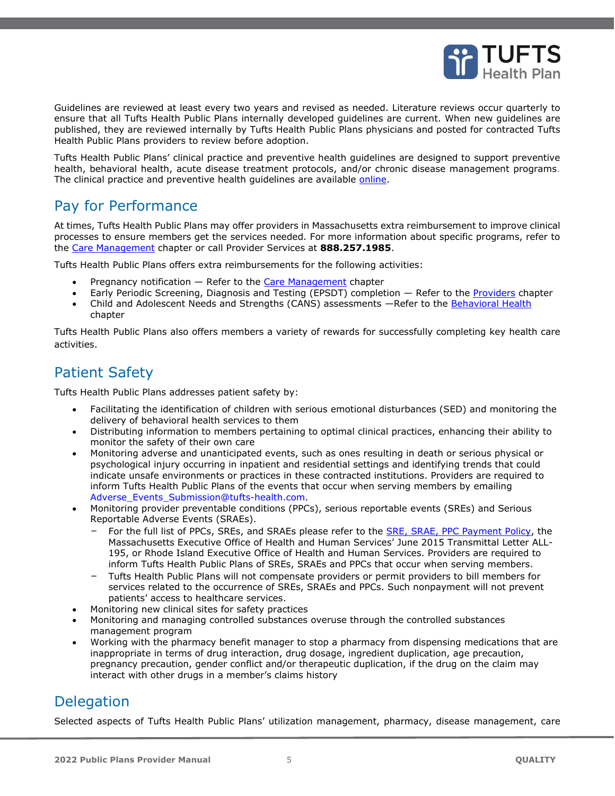

Guidelines are reviewed at least every two years and revised as needed. Literature reviews occur quarterly to ensure that all Tufts Health Public Plans internally developed guidelines are current. When new guidelines are published, they are reviewed internally by Tufts Health Public Plans physicians and posted for contracted Tufts Health Public Plans providers to review before adoption.

Tufts Health Public Plans' clinical practice and preventive health guidelines are designed to support preventive health, behavioral health, acute disease treatment protocols, and/or chronic disease management programs. The clinical practice and preventive health guidelines are available [online.](https://tuftshealthplan.com/provider/clinical-practice-guidelines)

# <span id="page-4-0"></span>Pay for Performance

At times, Tufts Health Public Plans may offer providers in Massachusetts extra reimbursement to improve clinical processes to ensure members get the services needed. For more information about specific programs, refer to the Care Management chapter or call Provider Services at **888.257.1985**.

Tufts Health Public Plans offers extra reimbursements for the following activities:

- Pregnancy notification Refer to the Care Management chapter
- Early Periodic Screening, Diagnosis and Testing (EPSDT) completion Refer to the Providers chapter
- Child and Adolescent Needs and Strengths (CANS) assessments -Refer to the Behavioral Health chapter

Tufts Health Public Plans also offers members a variety of rewards for successfully completing key health care activities.

# <span id="page-4-1"></span>Patient Safety

Tufts Health Public Plans addresses patient safety by:

- Facilitating the identification of children with serious emotional disturbances (SED) and monitoring the delivery of behavioral health services to them
- Distributing information to members pertaining to optimal clinical practices, enhancing their ability to monitor the safety of their own care
- Monitoring adverse and unanticipated events, such as ones resulting in death or serious physical or psychological injury occurring in inpatient and residential settings and identifying trends that could indicate unsafe environments or practices in these contracted institutions. Providers are required to inform Tufts Health Public Plans of the events that occur when serving members by emailing [Adverse\\_Events\\_Submission@tufts-health.com.](mailto:Adverse_Events_Submission@tufts-health.com)
- Monitoring provider preventable conditions (PPCs), serious reportable events (SREs) and Serious Reportable Adverse Events (SRAEs).
	- For the full list of PPCs, SREs, and SRAEs please refer to the **SRE, SRAE, PPC Payment Policy**, the Massachusetts Executive Office of Health and Human Services' June 2015 Transmittal Letter ALL-195, or Rhode Island Executive Office of Health and Human Services. Providers are required to inform Tufts Health Public Plans of SREs, SRAEs and PPCs that occur when serving members.
	- Tufts Health Public Plans will not compensate providers or permit providers to bill members for services related to the occurrence of SREs, SRAEs and PPCs. Such nonpayment will not prevent patients' access to healthcare services.
- Monitoring new clinical sites for safety practices
- Monitoring and managing controlled substances overuse through the controlled substances management program
- Working with the pharmacy benefit manager to stop a pharmacy from dispensing medications that are inappropriate in terms of drug interaction, drug dosage, ingredient duplication, age precaution, pregnancy precaution, gender conflict and/or therapeutic duplication, if the drug on the claim may interact with other drugs in a member's claims history

# <span id="page-4-2"></span>**Delegation**

Selected aspects of Tufts Health Public Plans' utilization management, pharmacy, disease management, care